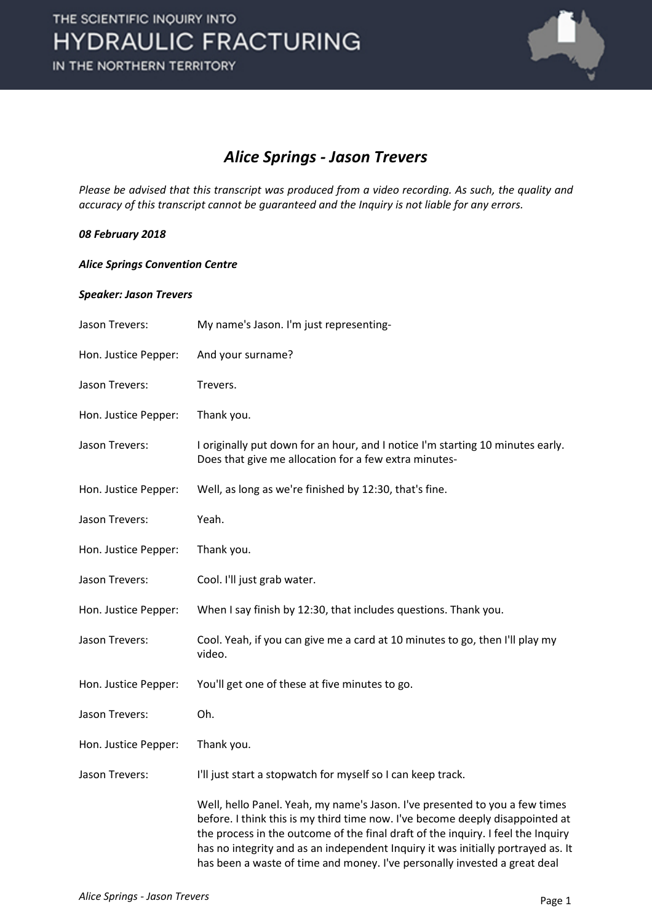

#### *Alice Springs - Jason Trevers*

*Please be advised that this transcript was produced from a video recording. As such, the quality and accuracy of this transcript cannot be guaranteed and the Inquiry is not liable for any errors.*

#### *08 February 2018*

#### *Alice Springs Convention Centre*

#### *Speaker: Jason Trevers*

| Jason Trevers:       | My name's Jason. I'm just representing-                                                                                                                                                                                                                                                                                                                                                                           |
|----------------------|-------------------------------------------------------------------------------------------------------------------------------------------------------------------------------------------------------------------------------------------------------------------------------------------------------------------------------------------------------------------------------------------------------------------|
| Hon. Justice Pepper: | And your surname?                                                                                                                                                                                                                                                                                                                                                                                                 |
| Jason Trevers:       | Trevers.                                                                                                                                                                                                                                                                                                                                                                                                          |
| Hon. Justice Pepper: | Thank you.                                                                                                                                                                                                                                                                                                                                                                                                        |
| Jason Trevers:       | I originally put down for an hour, and I notice I'm starting 10 minutes early.<br>Does that give me allocation for a few extra minutes-                                                                                                                                                                                                                                                                           |
| Hon. Justice Pepper: | Well, as long as we're finished by 12:30, that's fine.                                                                                                                                                                                                                                                                                                                                                            |
| Jason Trevers:       | Yeah.                                                                                                                                                                                                                                                                                                                                                                                                             |
| Hon. Justice Pepper: | Thank you.                                                                                                                                                                                                                                                                                                                                                                                                        |
| Jason Trevers:       | Cool. I'll just grab water.                                                                                                                                                                                                                                                                                                                                                                                       |
| Hon. Justice Pepper: | When I say finish by 12:30, that includes questions. Thank you.                                                                                                                                                                                                                                                                                                                                                   |
| Jason Trevers:       | Cool. Yeah, if you can give me a card at 10 minutes to go, then I'll play my<br>video.                                                                                                                                                                                                                                                                                                                            |
| Hon. Justice Pepper: | You'll get one of these at five minutes to go.                                                                                                                                                                                                                                                                                                                                                                    |
| Jason Trevers:       | Oh.                                                                                                                                                                                                                                                                                                                                                                                                               |
| Hon. Justice Pepper: | Thank you.                                                                                                                                                                                                                                                                                                                                                                                                        |
| Jason Trevers:       | I'll just start a stopwatch for myself so I can keep track.                                                                                                                                                                                                                                                                                                                                                       |
|                      | Well, hello Panel. Yeah, my name's Jason. I've presented to you a few times<br>before. I think this is my third time now. I've become deeply disappointed at<br>the process in the outcome of the final draft of the inquiry. I feel the Inquiry<br>has no integrity and as an independent Inquiry it was initially portrayed as. It<br>has been a waste of time and money. I've personally invested a great deal |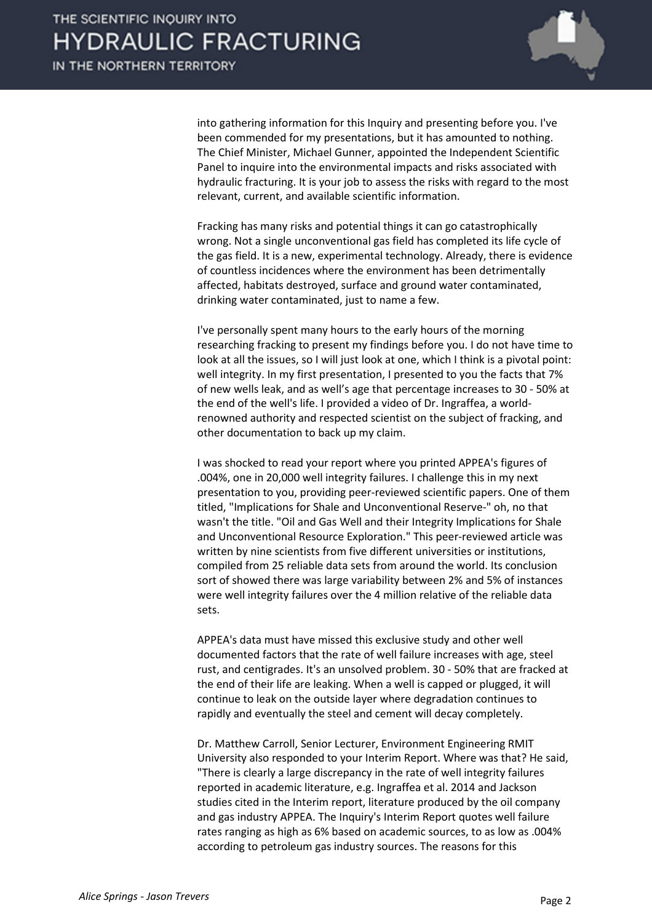

into gathering information for this Inquiry and presenting before you. I've been commended for my presentations, but it has amounted to nothing. The Chief Minister, Michael Gunner, appointed the Independent Scientific Panel to inquire into the environmental impacts and risks associated with hydraulic fracturing. It is your job to assess the risks with regard to the most relevant, current, and available scientific information.

Fracking has many risks and potential things it can go catastrophically wrong. Not a single unconventional gas field has completed its life cycle of the gas field. It is a new, experimental technology. Already, there is evidence of countless incidences where the environment has been detrimentally affected, habitats destroyed, surface and ground water contaminated, drinking water contaminated, just to name a few.

I've personally spent many hours to the early hours of the morning researching fracking to present my findings before you. I do not have time to look at all the issues, so I will just look at one, which I think is a pivotal point: well integrity. In my first presentation, I presented to you the facts that 7% of new wells leak, and as well's age that percentage increases to 30 - 50% at the end of the well's life. I provided a video of Dr. Ingraffea, a worldrenowned authority and respected scientist on the subject of fracking, and other documentation to back up my claim.

I was shocked to read your report where you printed APPEA's figures of .004%, one in 20,000 well integrity failures. I challenge this in my next presentation to you, providing peer-reviewed scientific papers. One of them titled, "Implications for Shale and Unconventional Reserve-" oh, no that wasn't the title. "Oil and Gas Well and their Integrity Implications for Shale and Unconventional Resource Exploration." This peer-reviewed article was written by nine scientists from five different universities or institutions, compiled from 25 reliable data sets from around the world. Its conclusion sort of showed there was large variability between 2% and 5% of instances were well integrity failures over the 4 million relative of the reliable data sets.

APPEA's data must have missed this exclusive study and other well documented factors that the rate of well failure increases with age, steel rust, and centigrades. It's an unsolved problem. 30 - 50% that are fracked at the end of their life are leaking. When a well is capped or plugged, it will continue to leak on the outside layer where degradation continues to rapidly and eventually the steel and cement will decay completely.

Dr. Matthew Carroll, Senior Lecturer, Environment Engineering RMIT University also responded to your Interim Report. Where was that? He said, "There is clearly a large discrepancy in the rate of well integrity failures reported in academic literature, e.g. Ingraffea et al. 2014 and Jackson studies cited in the Interim report, literature produced by the oil company and gas industry APPEA. The Inquiry's Interim Report quotes well failure rates ranging as high as 6% based on academic sources, to as low as .004% according to petroleum gas industry sources. The reasons for this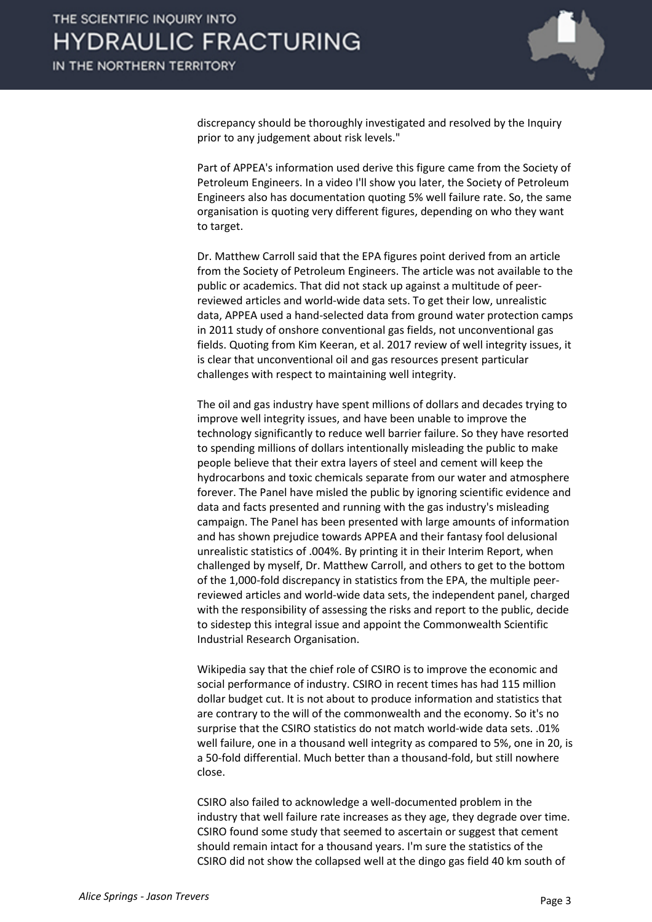

discrepancy should be thoroughly investigated and resolved by the Inquiry prior to any judgement about risk levels."

Part of APPEA's information used derive this figure came from the Society of Petroleum Engineers. In a video I'll show you later, the Society of Petroleum Engineers also has documentation quoting 5% well failure rate. So, the same organisation is quoting very different figures, depending on who they want to target.

Dr. Matthew Carroll said that the EPA figures point derived from an article from the Society of Petroleum Engineers. The article was not available to the public or academics. That did not stack up against a multitude of peerreviewed articles and world-wide data sets. To get their low, unrealistic data, APPEA used a hand-selected data from ground water protection camps in 2011 study of onshore conventional gas fields, not unconventional gas fields. Quoting from Kim Keeran, et al. 2017 review of well integrity issues, it is clear that unconventional oil and gas resources present particular challenges with respect to maintaining well integrity.

The oil and gas industry have spent millions of dollars and decades trying to improve well integrity issues, and have been unable to improve the technology significantly to reduce well barrier failure. So they have resorted to spending millions of dollars intentionally misleading the public to make people believe that their extra layers of steel and cement will keep the hydrocarbons and toxic chemicals separate from our water and atmosphere forever. The Panel have misled the public by ignoring scientific evidence and data and facts presented and running with the gas industry's misleading campaign. The Panel has been presented with large amounts of information and has shown prejudice towards APPEA and their fantasy fool delusional unrealistic statistics of .004%. By printing it in their Interim Report, when challenged by myself, Dr. Matthew Carroll, and others to get to the bottom of the 1,000-fold discrepancy in statistics from the EPA, the multiple peerreviewed articles and world-wide data sets, the independent panel, charged with the responsibility of assessing the risks and report to the public, decide to sidestep this integral issue and appoint the Commonwealth Scientific Industrial Research Organisation.

Wikipedia say that the chief role of CSIRO is to improve the economic and social performance of industry. CSIRO in recent times has had 115 million dollar budget cut. It is not about to produce information and statistics that are contrary to the will of the commonwealth and the economy. So it's no surprise that the CSIRO statistics do not match world-wide data sets. .01% well failure, one in a thousand well integrity as compared to 5%, one in 20, is a 50-fold differential. Much better than a thousand-fold, but still nowhere close.

CSIRO also failed to acknowledge a well-documented problem in the industry that well failure rate increases as they age, they degrade over time. CSIRO found some study that seemed to ascertain or suggest that cement should remain intact for a thousand years. I'm sure the statistics of the CSIRO did not show the collapsed well at the dingo gas field 40 km south of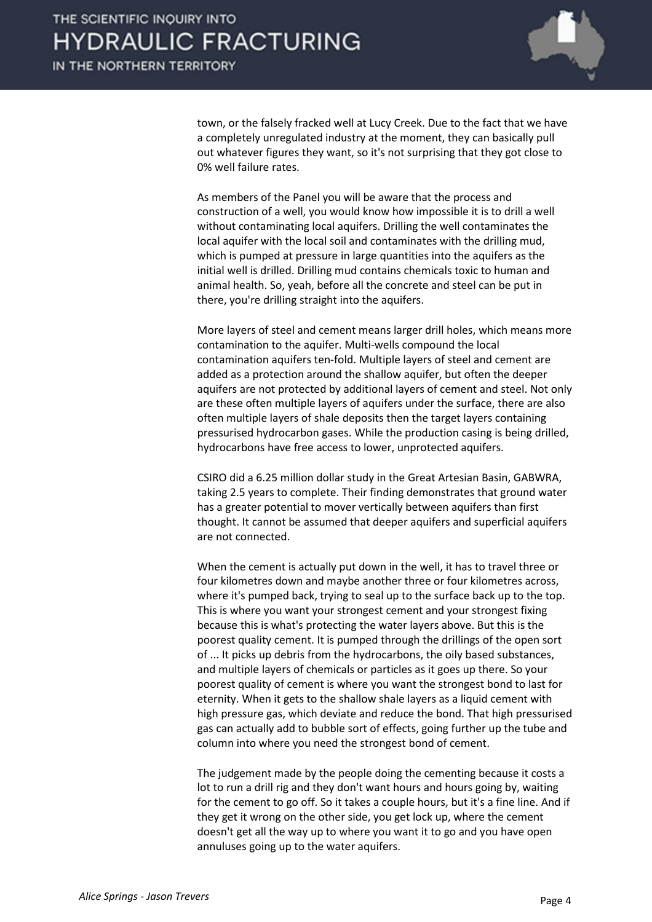

town, or the falsely fracked well at Lucy Creek. Due to the fact that we have a completely unregulated industry at the moment, they can basically pull out whatever figures they want, so it's not surprising that they got close to 0% well failure rates.

As members of the Panel you will be aware that the process and construction of a well, you would know how impossible it is to drill a well without contaminating local aquifers. Drilling the well contaminates the local aquifer with the local soil and contaminates with the drilling mud, which is pumped at pressure in large quantities into the aquifers as the initial well is drilled. Drilling mud contains chemicals toxic to human and animal health. So, yeah, before all the concrete and steel can be put in there, you're drilling straight into the aquifers.

More layers of steel and cement means larger drill holes, which means more contamination to the aquifer. Multi-wells compound the local contamination aquifers ten-fold. Multiple layers of steel and cement are added as a protection around the shallow aquifer, but often the deeper aquifers are not protected by additional layers of cement and steel. Not only are these often multiple layers of aquifers under the surface, there are also often multiple layers of shale deposits then the target layers containing pressurised hydrocarbon gases. While the production casing is being drilled, hydrocarbons have free access to lower, unprotected aquifers.

CSIRO did a 6.25 million dollar study in the Great Artesian Basin, GABWRA, taking 2.5 years to complete. Their finding demonstrates that ground water has a greater potential to mover vertically between aquifers than first thought. It cannot be assumed that deeper aquifers and superficial aquifers are not connected.

When the cement is actually put down in the well, it has to travel three or four kilometres down and maybe another three or four kilometres across, where it's pumped back, trying to seal up to the surface back up to the top. This is where you want your strongest cement and your strongest fixing because this is what's protecting the water layers above. But this is the poorest quality cement. It is pumped through the drillings of the open sort of ... It picks up debris from the hydrocarbons, the oily based substances, and multiple layers of chemicals or particles as it goes up there. So your poorest quality of cement is where you want the strongest bond to last for eternity. When it gets to the shallow shale layers as a liquid cement with high pressure gas, which deviate and reduce the bond. That high pressurised gas can actually add to bubble sort of effects, going further up the tube and column into where you need the strongest bond of cement.

The judgement made by the people doing the cementing because it costs a lot to run a drill rig and they don't want hours and hours going by, waiting for the cement to go off. So it takes a couple hours, but it's a fine line. And if they get it wrong on the other side, you get lock up, where the cement doesn't get all the way up to where you want it to go and you have open annuluses going up to the water aquifers.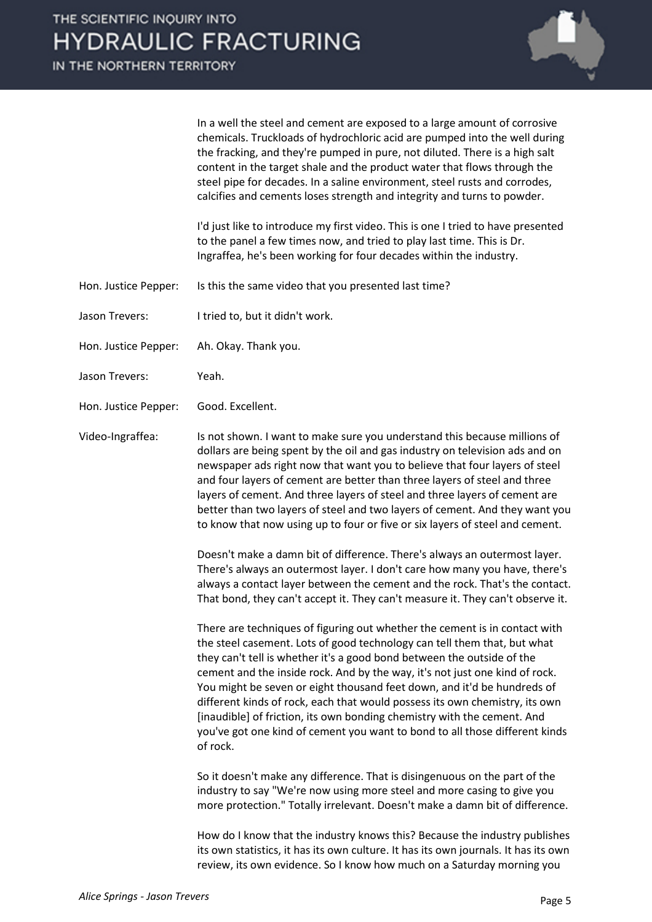IN THE NORTHERN TERRITORY



In a well the steel and cement are exposed to a large amount of corrosive chemicals. Truckloads of hydrochloric acid are pumped into the well during the fracking, and they're pumped in pure, not diluted. There is a high salt content in the target shale and the product water that flows through the steel pipe for decades. In a saline environment, steel rusts and corrodes, calcifies and cements loses strength and integrity and turns to powder.

I'd just like to introduce my first video. This is one I tried to have presented to the panel a few times now, and tried to play last time. This is Dr. Ingraffea, he's been working for four decades within the industry.

- Hon. Justice Pepper: Is this the same video that you presented last time?
- Jason Trevers: I tried to, but it didn't work.
- Hon. Justice Pepper: Ah. Okay. Thank you.
- Jason Trevers: Yeah.
- Hon. Justice Pepper: Good. Excellent.

Video-Ingraffea: Is not shown. I want to make sure you understand this because millions of dollars are being spent by the oil and gas industry on television ads and on newspaper ads right now that want you to believe that four layers of steel and four layers of cement are better than three layers of steel and three layers of cement. And three layers of steel and three layers of cement are better than two layers of steel and two layers of cement. And they want you to know that now using up to four or five or six layers of steel and cement.

> Doesn't make a damn bit of difference. There's always an outermost layer. There's always an outermost layer. I don't care how many you have, there's always a contact layer between the cement and the rock. That's the contact. That bond, they can't accept it. They can't measure it. They can't observe it.

There are techniques of figuring out whether the cement is in contact with the steel casement. Lots of good technology can tell them that, but what they can't tell is whether it's a good bond between the outside of the cement and the inside rock. And by the way, it's not just one kind of rock. You might be seven or eight thousand feet down, and it'd be hundreds of different kinds of rock, each that would possess its own chemistry, its own [inaudible] of friction, its own bonding chemistry with the cement. And you've got one kind of cement you want to bond to all those different kinds of rock.

So it doesn't make any difference. That is disingenuous on the part of the industry to say "We're now using more steel and more casing to give you more protection." Totally irrelevant. Doesn't make a damn bit of difference.

How do I know that the industry knows this? Because the industry publishes its own statistics, it has its own culture. It has its own journals. It has its own review, its own evidence. So I know how much on a Saturday morning you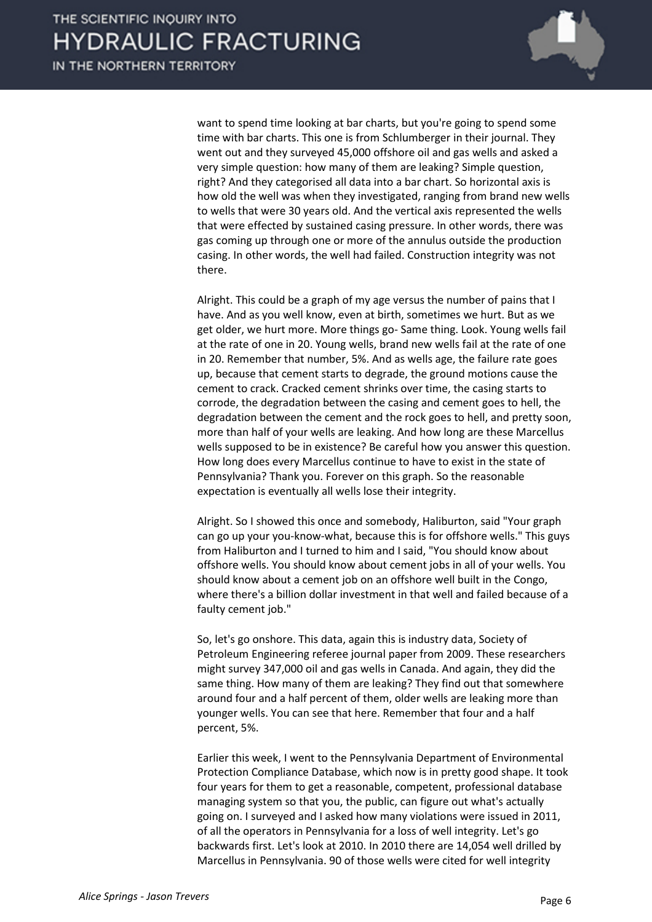

want to spend time looking at bar charts, but you're going to spend some time with bar charts. This one is from Schlumberger in their journal. They went out and they surveyed 45,000 offshore oil and gas wells and asked a very simple question: how many of them are leaking? Simple question, right? And they categorised all data into a bar chart. So horizontal axis is how old the well was when they investigated, ranging from brand new wells to wells that were 30 years old. And the vertical axis represented the wells that were effected by sustained casing pressure. In other words, there was gas coming up through one or more of the annulus outside the production casing. In other words, the well had failed. Construction integrity was not there.

Alright. This could be a graph of my age versus the number of pains that I have. And as you well know, even at birth, sometimes we hurt. But as we get older, we hurt more. More things go- Same thing. Look. Young wells fail at the rate of one in 20. Young wells, brand new wells fail at the rate of one in 20. Remember that number, 5%. And as wells age, the failure rate goes up, because that cement starts to degrade, the ground motions cause the cement to crack. Cracked cement shrinks over time, the casing starts to corrode, the degradation between the casing and cement goes to hell, the degradation between the cement and the rock goes to hell, and pretty soon, more than half of your wells are leaking. And how long are these Marcellus wells supposed to be in existence? Be careful how you answer this question. How long does every Marcellus continue to have to exist in the state of Pennsylvania? Thank you. Forever on this graph. So the reasonable expectation is eventually all wells lose their integrity.

Alright. So I showed this once and somebody, Haliburton, said "Your graph can go up your you-know-what, because this is for offshore wells." This guys from Haliburton and I turned to him and I said, "You should know about offshore wells. You should know about cement jobs in all of your wells. You should know about a cement job on an offshore well built in the Congo, where there's a billion dollar investment in that well and failed because of a faulty cement job."

So, let's go onshore. This data, again this is industry data, Society of Petroleum Engineering referee journal paper from 2009. These researchers might survey 347,000 oil and gas wells in Canada. And again, they did the same thing. How many of them are leaking? They find out that somewhere around four and a half percent of them, older wells are leaking more than younger wells. You can see that here. Remember that four and a half percent, 5%.

Earlier this week, I went to the Pennsylvania Department of Environmental Protection Compliance Database, which now is in pretty good shape. It took four years for them to get a reasonable, competent, professional database managing system so that you, the public, can figure out what's actually going on. I surveyed and I asked how many violations were issued in 2011, of all the operators in Pennsylvania for a loss of well integrity. Let's go backwards first. Let's look at 2010. In 2010 there are 14,054 well drilled by Marcellus in Pennsylvania. 90 of those wells were cited for well integrity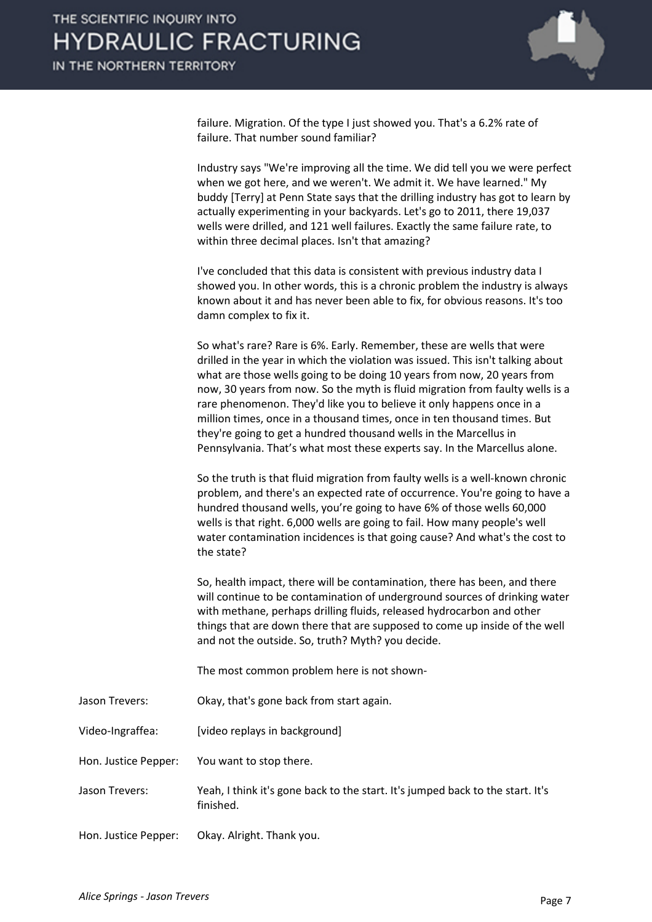

failure. Migration. Of the type I just showed you. That's a 6.2% rate of failure. That number sound familiar?

Industry says "We're improving all the time. We did tell you we were perfect when we got here, and we weren't. We admit it. We have learned." My buddy [Terry] at Penn State says that the drilling industry has got to learn by actually experimenting in your backyards. Let's go to 2011, there 19,037 wells were drilled, and 121 well failures. Exactly the same failure rate, to within three decimal places. Isn't that amazing?

I've concluded that this data is consistent with previous industry data I showed you. In other words, this is a chronic problem the industry is always known about it and has never been able to fix, for obvious reasons. It's too damn complex to fix it.

So what's rare? Rare is 6%. Early. Remember, these are wells that were drilled in the year in which the violation was issued. This isn't talking about what are those wells going to be doing 10 years from now, 20 years from now, 30 years from now. So the myth is fluid migration from faulty wells is a rare phenomenon. They'd like you to believe it only happens once in a million times, once in a thousand times, once in ten thousand times. But they're going to get a hundred thousand wells in the Marcellus in Pennsylvania. That's what most these experts say. In the Marcellus alone.

So the truth is that fluid migration from faulty wells is a well-known chronic problem, and there's an expected rate of occurrence. You're going to have a hundred thousand wells, you're going to have 6% of those wells 60,000 wells is that right. 6,000 wells are going to fail. How many people's well water contamination incidences is that going cause? And what's the cost to the state?

So, health impact, there will be contamination, there has been, and there will continue to be contamination of underground sources of drinking water with methane, perhaps drilling fluids, released hydrocarbon and other things that are down there that are supposed to come up inside of the well and not the outside. So, truth? Myth? you decide.

The most common problem here is not shown-

Jason Trevers: Okay, that's gone back from start again.

Video-Ingraffea: [video replays in background]

Hon. Justice Pepper: You want to stop there.

Jason Trevers: Yeah, I think it's gone back to the start. It's jumped back to the start. It's finished.

Hon. Justice Pepper: Okay. Alright. Thank you.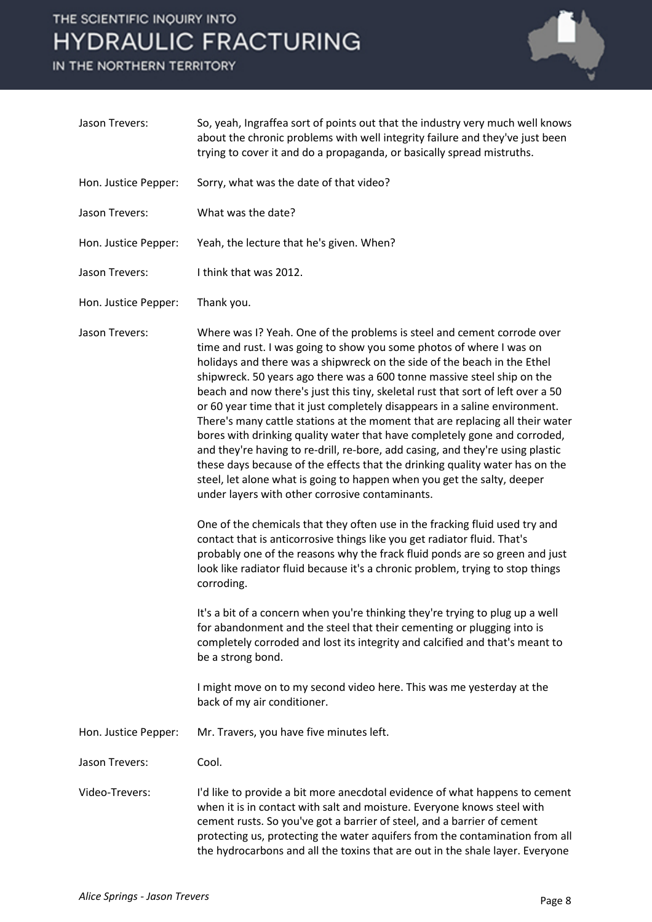IN THE NORTHERN TERRITORY



| Jason Trevers:       | So, yeah, Ingraffea sort of points out that the industry very much well knows<br>about the chronic problems with well integrity failure and they've just been<br>trying to cover it and do a propaganda, or basically spread mistruths.                                                                                                                                                                                                                                                                                                                                                                                                                                                                                                                                                                                                                                                                                                                                                                                                                                                                                                                                                                                                                                                                                                                                                                                                                                                                                                                                                                                                                  |
|----------------------|----------------------------------------------------------------------------------------------------------------------------------------------------------------------------------------------------------------------------------------------------------------------------------------------------------------------------------------------------------------------------------------------------------------------------------------------------------------------------------------------------------------------------------------------------------------------------------------------------------------------------------------------------------------------------------------------------------------------------------------------------------------------------------------------------------------------------------------------------------------------------------------------------------------------------------------------------------------------------------------------------------------------------------------------------------------------------------------------------------------------------------------------------------------------------------------------------------------------------------------------------------------------------------------------------------------------------------------------------------------------------------------------------------------------------------------------------------------------------------------------------------------------------------------------------------------------------------------------------------------------------------------------------------|
| Hon. Justice Pepper: | Sorry, what was the date of that video?                                                                                                                                                                                                                                                                                                                                                                                                                                                                                                                                                                                                                                                                                                                                                                                                                                                                                                                                                                                                                                                                                                                                                                                                                                                                                                                                                                                                                                                                                                                                                                                                                  |
| Jason Trevers:       | What was the date?                                                                                                                                                                                                                                                                                                                                                                                                                                                                                                                                                                                                                                                                                                                                                                                                                                                                                                                                                                                                                                                                                                                                                                                                                                                                                                                                                                                                                                                                                                                                                                                                                                       |
| Hon. Justice Pepper: | Yeah, the lecture that he's given. When?                                                                                                                                                                                                                                                                                                                                                                                                                                                                                                                                                                                                                                                                                                                                                                                                                                                                                                                                                                                                                                                                                                                                                                                                                                                                                                                                                                                                                                                                                                                                                                                                                 |
| Jason Trevers:       | I think that was 2012.                                                                                                                                                                                                                                                                                                                                                                                                                                                                                                                                                                                                                                                                                                                                                                                                                                                                                                                                                                                                                                                                                                                                                                                                                                                                                                                                                                                                                                                                                                                                                                                                                                   |
| Hon. Justice Pepper: | Thank you.                                                                                                                                                                                                                                                                                                                                                                                                                                                                                                                                                                                                                                                                                                                                                                                                                                                                                                                                                                                                                                                                                                                                                                                                                                                                                                                                                                                                                                                                                                                                                                                                                                               |
| Jason Trevers:       | Where was I? Yeah. One of the problems is steel and cement corrode over<br>time and rust. I was going to show you some photos of where I was on<br>holidays and there was a shipwreck on the side of the beach in the Ethel<br>shipwreck. 50 years ago there was a 600 tonne massive steel ship on the<br>beach and now there's just this tiny, skeletal rust that sort of left over a 50<br>or 60 year time that it just completely disappears in a saline environment.<br>There's many cattle stations at the moment that are replacing all their water<br>bores with drinking quality water that have completely gone and corroded,<br>and they're having to re-drill, re-bore, add casing, and they're using plastic<br>these days because of the effects that the drinking quality water has on the<br>steel, let alone what is going to happen when you get the salty, deeper<br>under layers with other corrosive contaminants.<br>One of the chemicals that they often use in the fracking fluid used try and<br>contact that is anticorrosive things like you get radiator fluid. That's<br>probably one of the reasons why the frack fluid ponds are so green and just<br>look like radiator fluid because it's a chronic problem, trying to stop things<br>corroding.<br>It's a bit of a concern when you're thinking they're trying to plug up a well<br>for abandonment and the steel that their cementing or plugging into is<br>completely corroded and lost its integrity and calcified and that's meant to<br>be a strong bond.<br>I might move on to my second video here. This was me yesterday at the<br>back of my air conditioner. |
| Hon. Justice Pepper: | Mr. Travers, you have five minutes left.                                                                                                                                                                                                                                                                                                                                                                                                                                                                                                                                                                                                                                                                                                                                                                                                                                                                                                                                                                                                                                                                                                                                                                                                                                                                                                                                                                                                                                                                                                                                                                                                                 |
| Jason Trevers:       | Cool.                                                                                                                                                                                                                                                                                                                                                                                                                                                                                                                                                                                                                                                                                                                                                                                                                                                                                                                                                                                                                                                                                                                                                                                                                                                                                                                                                                                                                                                                                                                                                                                                                                                    |
| Video-Trevers:       | I'd like to provide a bit more anecdotal evidence of what happens to cement<br>when it is in contact with salt and moisture. Everyone knows steel with<br>cement rusts. So you've got a barrier of steel, and a barrier of cement<br>protecting us, protecting the water aquifers from the contamination from all<br>the hydrocarbons and all the toxins that are out in the shale layer. Everyone                                                                                                                                                                                                                                                                                                                                                                                                                                                                                                                                                                                                                                                                                                                                                                                                                                                                                                                                                                                                                                                                                                                                                                                                                                                       |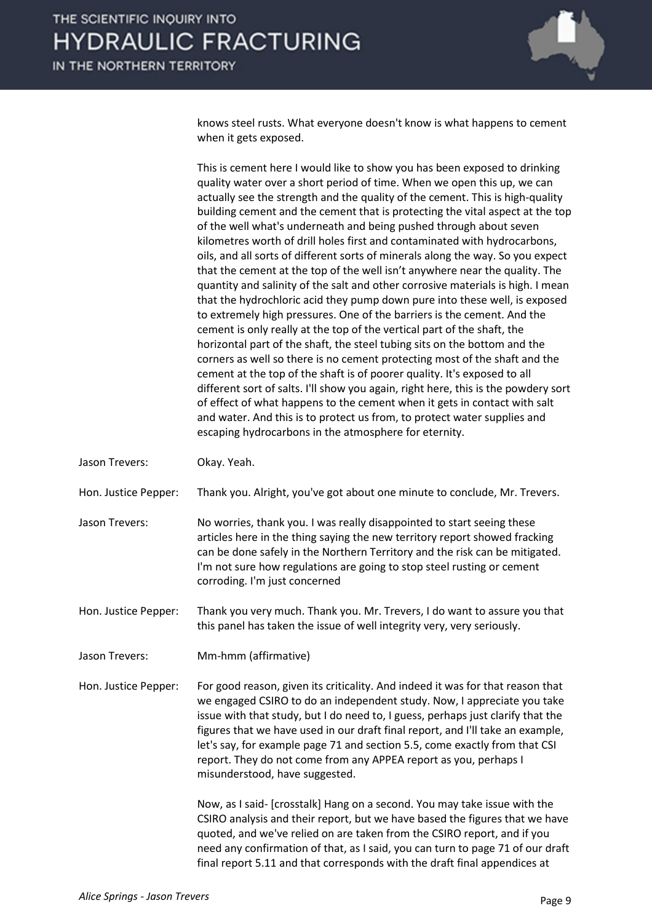

knows steel rusts. What everyone doesn't know is what happens to cement when it gets exposed.

This is cement here I would like to show you has been exposed to drinking quality water over a short period of time. When we open this up, we can actually see the strength and the quality of the cement. This is high-quality building cement and the cement that is protecting the vital aspect at the top of the well what's underneath and being pushed through about seven kilometres worth of drill holes first and contaminated with hydrocarbons, oils, and all sorts of different sorts of minerals along the way. So you expect that the cement at the top of the well isn't anywhere near the quality. The quantity and salinity of the salt and other corrosive materials is high. I mean that the hydrochloric acid they pump down pure into these well, is exposed to extremely high pressures. One of the barriers is the cement. And the cement is only really at the top of the vertical part of the shaft, the horizontal part of the shaft, the steel tubing sits on the bottom and the corners as well so there is no cement protecting most of the shaft and the cement at the top of the shaft is of poorer quality. It's exposed to all different sort of salts. I'll show you again, right here, this is the powdery sort of effect of what happens to the cement when it gets in contact with salt and water. And this is to protect us from, to protect water supplies and escaping hydrocarbons in the atmosphere for eternity.

Jason Trevers: Okay. Yeah.

Hon. Justice Pepper: Thank you. Alright, you've got about one minute to conclude, Mr. Trevers.

- Jason Trevers: No worries, thank you. I was really disappointed to start seeing these articles here in the thing saying the new territory report showed fracking can be done safely in the Northern Territory and the risk can be mitigated. I'm not sure how regulations are going to stop steel rusting or cement corroding. I'm just concerned
- Hon. Justice Pepper: Thank you very much. Thank you. Mr. Trevers, I do want to assure you that this panel has taken the issue of well integrity very, very seriously.
- Jason Trevers: Mm-hmm (affirmative)

Hon. Justice Pepper: For good reason, given its criticality. And indeed it was for that reason that we engaged CSIRO to do an independent study. Now, I appreciate you take issue with that study, but I do need to, I guess, perhaps just clarify that the figures that we have used in our draft final report, and I'll take an example, let's say, for example page 71 and section 5.5, come exactly from that CSI report. They do not come from any APPEA report as you, perhaps I misunderstood, have suggested.

> Now, as I said- [crosstalk] Hang on a second. You may take issue with the CSIRO analysis and their report, but we have based the figures that we have quoted, and we've relied on are taken from the CSIRO report, and if you need any confirmation of that, as I said, you can turn to page 71 of our draft final report 5.11 and that corresponds with the draft final appendices at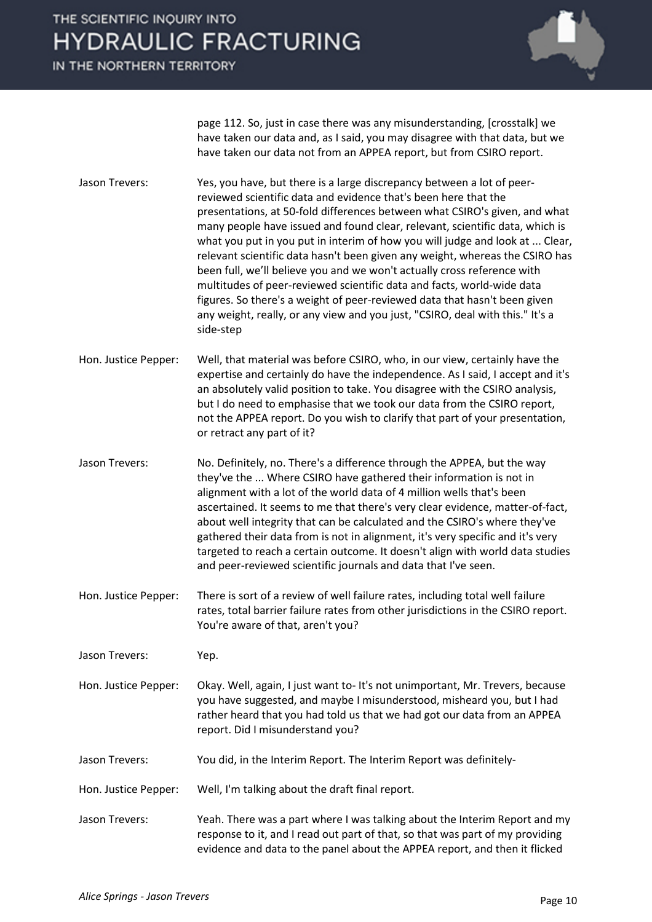IN THE NORTHERN TERRITORY



page 112. So, just in case there was any misunderstanding, [crosstalk] we have taken our data and, as I said, you may disagree with that data, but we have taken our data not from an APPEA report, but from CSIRO report.

- Jason Trevers: Yes, you have, but there is a large discrepancy between a lot of peerreviewed scientific data and evidence that's been here that the presentations, at 50-fold differences between what CSIRO's given, and what many people have issued and found clear, relevant, scientific data, which is what you put in you put in interim of how you will judge and look at ... Clear, relevant scientific data hasn't been given any weight, whereas the CSIRO has been full, we'll believe you and we won't actually cross reference with multitudes of peer-reviewed scientific data and facts, world-wide data figures. So there's a weight of peer-reviewed data that hasn't been given any weight, really, or any view and you just, "CSIRO, deal with this." It's a side-step
- Hon. Justice Pepper: Well, that material was before CSIRO, who, in our view, certainly have the expertise and certainly do have the independence. As I said, I accept and it's an absolutely valid position to take. You disagree with the CSIRO analysis, but I do need to emphasise that we took our data from the CSIRO report, not the APPEA report. Do you wish to clarify that part of your presentation, or retract any part of it?
- Jason Trevers: No. Definitely, no. There's a difference through the APPEA, but the way they've the ... Where CSIRO have gathered their information is not in alignment with a lot of the world data of 4 million wells that's been ascertained. It seems to me that there's very clear evidence, matter-of-fact, about well integrity that can be calculated and the CSIRO's where they've gathered their data from is not in alignment, it's very specific and it's very targeted to reach a certain outcome. It doesn't align with world data studies and peer-reviewed scientific journals and data that I've seen.
- Hon. Justice Pepper: There is sort of a review of well failure rates, including total well failure rates, total barrier failure rates from other jurisdictions in the CSIRO report. You're aware of that, aren't you?

Jason Trevers: Yep.

- Hon. Justice Pepper: Okay. Well, again, I just want to- It's not unimportant, Mr. Trevers, because you have suggested, and maybe I misunderstood, misheard you, but I had rather heard that you had told us that we had got our data from an APPEA report. Did I misunderstand you?
- Jason Trevers: You did, in the Interim Report. The Interim Report was definitely-
- Hon. Justice Pepper: Well, I'm talking about the draft final report.
- Jason Trevers: Yeah. There was a part where I was talking about the Interim Report and my response to it, and I read out part of that, so that was part of my providing evidence and data to the panel about the APPEA report, and then it flicked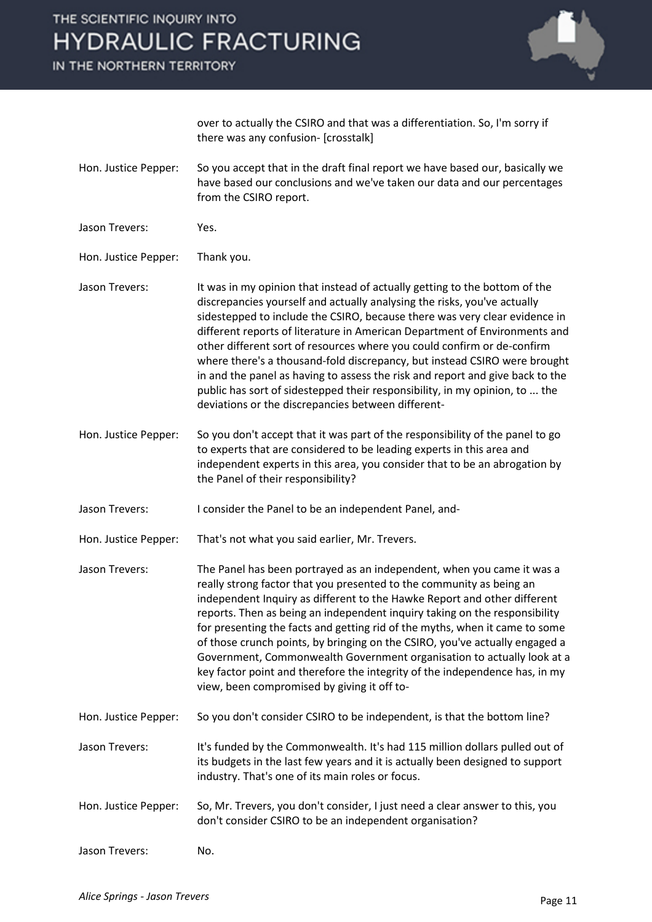IN THE NORTHERN TERRITORY



over to actually the CSIRO and that was a differentiation. So, I'm sorry if there was any confusion- [crosstalk]

- Hon. Justice Pepper: So you accept that in the draft final report we have based our, basically we have based our conclusions and we've taken our data and our percentages from the CSIRO report.
- Jason Trevers: Yes.
- Hon. Justice Pepper: Thank you.
- Jason Trevers: It was in my opinion that instead of actually getting to the bottom of the discrepancies yourself and actually analysing the risks, you've actually sidestepped to include the CSIRO, because there was very clear evidence in different reports of literature in American Department of Environments and other different sort of resources where you could confirm or de-confirm where there's a thousand-fold discrepancy, but instead CSIRO were brought in and the panel as having to assess the risk and report and give back to the public has sort of sidestepped their responsibility, in my opinion, to ... the deviations or the discrepancies between different-
- Hon. Justice Pepper: So you don't accept that it was part of the responsibility of the panel to go to experts that are considered to be leading experts in this area and independent experts in this area, you consider that to be an abrogation by the Panel of their responsibility?
- Jason Trevers: I consider the Panel to be an independent Panel, and-
- Hon. Justice Pepper: That's not what you said earlier, Mr. Trevers.
- Jason Trevers: The Panel has been portrayed as an independent, when you came it was a really strong factor that you presented to the community as being an independent Inquiry as different to the Hawke Report and other different reports. Then as being an independent inquiry taking on the responsibility for presenting the facts and getting rid of the myths, when it came to some of those crunch points, by bringing on the CSIRO, you've actually engaged a Government, Commonwealth Government organisation to actually look at a key factor point and therefore the integrity of the independence has, in my view, been compromised by giving it off to-
- Hon. Justice Pepper: So you don't consider CSIRO to be independent, is that the bottom line?
- Jason Trevers: It's funded by the Commonwealth. It's had 115 million dollars pulled out of its budgets in the last few years and it is actually been designed to support industry. That's one of its main roles or focus.
- Hon. Justice Pepper: So, Mr. Trevers, you don't consider, I just need a clear answer to this, you don't consider CSIRO to be an independent organisation?
- Jason Trevers: No.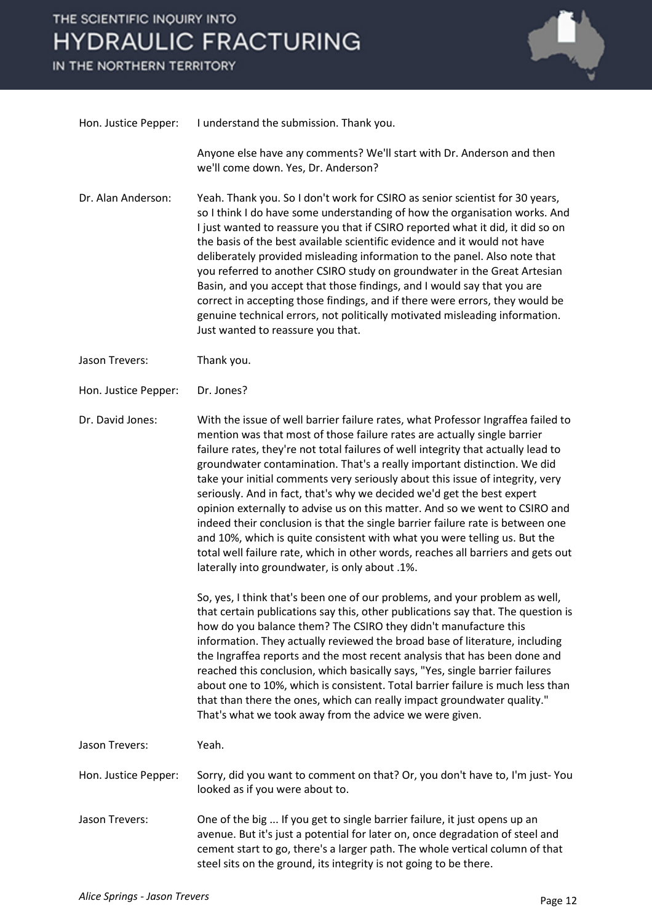IN THE NORTHERN TERRITORY



| Hon. Justice Pepper: | I understand the submission. Thank you.                                                                                                                                                                                                                                                                                                                                                                                                                                                                                                                                                                                                                                                                                                                                                                                                                                                                                                                                                                                                                                                                                                                                                                                                                                                                                                                                                                                                                                                                                                                                                |
|----------------------|----------------------------------------------------------------------------------------------------------------------------------------------------------------------------------------------------------------------------------------------------------------------------------------------------------------------------------------------------------------------------------------------------------------------------------------------------------------------------------------------------------------------------------------------------------------------------------------------------------------------------------------------------------------------------------------------------------------------------------------------------------------------------------------------------------------------------------------------------------------------------------------------------------------------------------------------------------------------------------------------------------------------------------------------------------------------------------------------------------------------------------------------------------------------------------------------------------------------------------------------------------------------------------------------------------------------------------------------------------------------------------------------------------------------------------------------------------------------------------------------------------------------------------------------------------------------------------------|
|                      | Anyone else have any comments? We'll start with Dr. Anderson and then<br>we'll come down. Yes, Dr. Anderson?                                                                                                                                                                                                                                                                                                                                                                                                                                                                                                                                                                                                                                                                                                                                                                                                                                                                                                                                                                                                                                                                                                                                                                                                                                                                                                                                                                                                                                                                           |
| Dr. Alan Anderson:   | Yeah. Thank you. So I don't work for CSIRO as senior scientist for 30 years,<br>so I think I do have some understanding of how the organisation works. And<br>I just wanted to reassure you that if CSIRO reported what it did, it did so on<br>the basis of the best available scientific evidence and it would not have<br>deliberately provided misleading information to the panel. Also note that<br>you referred to another CSIRO study on groundwater in the Great Artesian<br>Basin, and you accept that those findings, and I would say that you are<br>correct in accepting those findings, and if there were errors, they would be<br>genuine technical errors, not politically motivated misleading information.<br>Just wanted to reassure you that.                                                                                                                                                                                                                                                                                                                                                                                                                                                                                                                                                                                                                                                                                                                                                                                                                      |
| Jason Trevers:       | Thank you.                                                                                                                                                                                                                                                                                                                                                                                                                                                                                                                                                                                                                                                                                                                                                                                                                                                                                                                                                                                                                                                                                                                                                                                                                                                                                                                                                                                                                                                                                                                                                                             |
| Hon. Justice Pepper: | Dr. Jones?                                                                                                                                                                                                                                                                                                                                                                                                                                                                                                                                                                                                                                                                                                                                                                                                                                                                                                                                                                                                                                                                                                                                                                                                                                                                                                                                                                                                                                                                                                                                                                             |
| Dr. David Jones:     | With the issue of well barrier failure rates, what Professor Ingraffea failed to<br>mention was that most of those failure rates are actually single barrier<br>failure rates, they're not total failures of well integrity that actually lead to<br>groundwater contamination. That's a really important distinction. We did<br>take your initial comments very seriously about this issue of integrity, very<br>seriously. And in fact, that's why we decided we'd get the best expert<br>opinion externally to advise us on this matter. And so we went to CSIRO and<br>indeed their conclusion is that the single barrier failure rate is between one<br>and 10%, which is quite consistent with what you were telling us. But the<br>total well failure rate, which in other words, reaches all barriers and gets out<br>laterally into groundwater, is only about .1%.<br>So, yes, I think that's been one of our problems, and your problem as well,<br>that certain publications say this, other publications say that. The question is<br>how do you balance them? The CSIRO they didn't manufacture this<br>information. They actually reviewed the broad base of literature, including<br>the Ingraffea reports and the most recent analysis that has been done and<br>reached this conclusion, which basically says, "Yes, single barrier failures<br>about one to 10%, which is consistent. Total barrier failure is much less than<br>that than there the ones, which can really impact groundwater quality."<br>That's what we took away from the advice we were given. |
| Jason Trevers:       | Yeah.                                                                                                                                                                                                                                                                                                                                                                                                                                                                                                                                                                                                                                                                                                                                                                                                                                                                                                                                                                                                                                                                                                                                                                                                                                                                                                                                                                                                                                                                                                                                                                                  |
| Hon. Justice Pepper: | Sorry, did you want to comment on that? Or, you don't have to, I'm just-You<br>looked as if you were about to.                                                                                                                                                                                                                                                                                                                                                                                                                                                                                                                                                                                                                                                                                                                                                                                                                                                                                                                                                                                                                                                                                                                                                                                                                                                                                                                                                                                                                                                                         |
| Jason Trevers:       | One of the big  If you get to single barrier failure, it just opens up an<br>avenue. But it's just a potential for later on, once degradation of steel and<br>cement start to go, there's a larger path. The whole vertical column of that<br>steel sits on the ground, its integrity is not going to be there.                                                                                                                                                                                                                                                                                                                                                                                                                                                                                                                                                                                                                                                                                                                                                                                                                                                                                                                                                                                                                                                                                                                                                                                                                                                                        |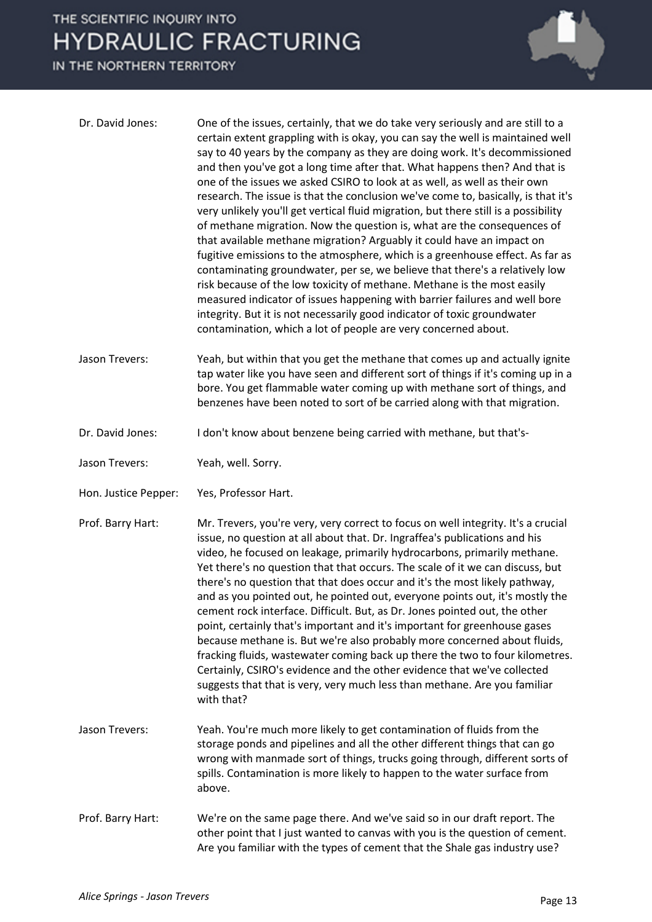IN THE NORTHERN TERRITORY

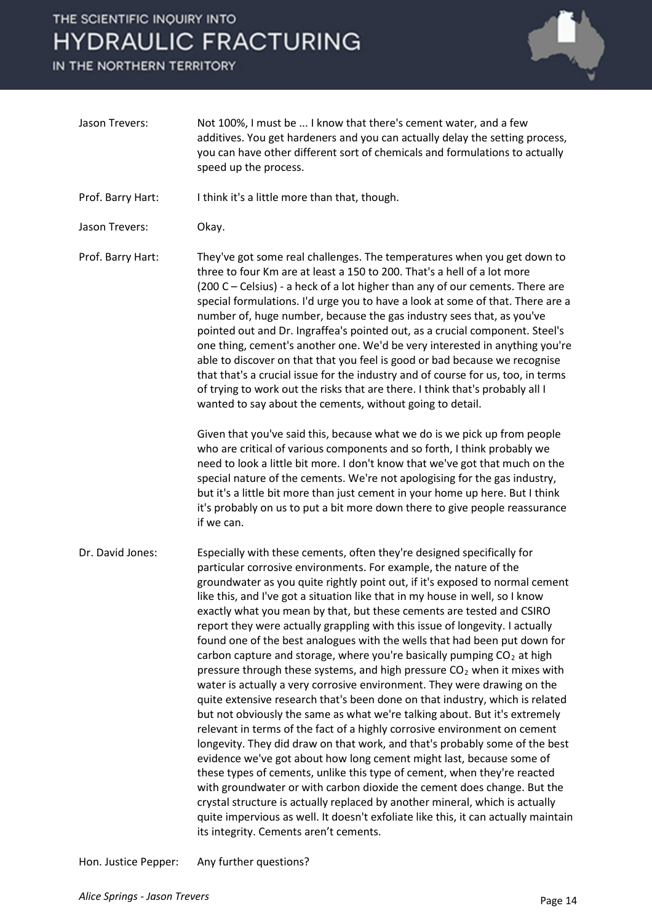IN THE NORTHERN TERRITORY



| Jason Trevers:    | Not 100%, I must be  I know that there's cement water, and a few<br>additives. You get hardeners and you can actually delay the setting process,<br>you can have other different sort of chemicals and formulations to actually<br>speed up the process.                                                                                                                                                                                                                                                                                                                                                                                                                                                                                                                                                                                                                                                                                                                                                                                                                                                                                                                                                                                                                                                                                                                                                                                                                                                                                                         |
|-------------------|------------------------------------------------------------------------------------------------------------------------------------------------------------------------------------------------------------------------------------------------------------------------------------------------------------------------------------------------------------------------------------------------------------------------------------------------------------------------------------------------------------------------------------------------------------------------------------------------------------------------------------------------------------------------------------------------------------------------------------------------------------------------------------------------------------------------------------------------------------------------------------------------------------------------------------------------------------------------------------------------------------------------------------------------------------------------------------------------------------------------------------------------------------------------------------------------------------------------------------------------------------------------------------------------------------------------------------------------------------------------------------------------------------------------------------------------------------------------------------------------------------------------------------------------------------------|
| Prof. Barry Hart: | I think it's a little more than that, though.                                                                                                                                                                                                                                                                                                                                                                                                                                                                                                                                                                                                                                                                                                                                                                                                                                                                                                                                                                                                                                                                                                                                                                                                                                                                                                                                                                                                                                                                                                                    |
| Jason Trevers:    | Okay.                                                                                                                                                                                                                                                                                                                                                                                                                                                                                                                                                                                                                                                                                                                                                                                                                                                                                                                                                                                                                                                                                                                                                                                                                                                                                                                                                                                                                                                                                                                                                            |
| Prof. Barry Hart: | They've got some real challenges. The temperatures when you get down to<br>three to four Km are at least a 150 to 200. That's a hell of a lot more<br>(200 C – Celsius) - a heck of a lot higher than any of our cements. There are<br>special formulations. I'd urge you to have a look at some of that. There are a<br>number of, huge number, because the gas industry sees that, as you've<br>pointed out and Dr. Ingraffea's pointed out, as a crucial component. Steel's<br>one thing, cement's another one. We'd be very interested in anything you're<br>able to discover on that that you feel is good or bad because we recognise<br>that that's a crucial issue for the industry and of course for us, too, in terms<br>of trying to work out the risks that are there. I think that's probably all I<br>wanted to say about the cements, without going to detail.                                                                                                                                                                                                                                                                                                                                                                                                                                                                                                                                                                                                                                                                                    |
|                   | Given that you've said this, because what we do is we pick up from people<br>who are critical of various components and so forth, I think probably we<br>need to look a little bit more. I don't know that we've got that much on the<br>special nature of the cements. We're not apologising for the gas industry,<br>but it's a little bit more than just cement in your home up here. But I think<br>it's probably on us to put a bit more down there to give people reassurance<br>if we can.                                                                                                                                                                                                                                                                                                                                                                                                                                                                                                                                                                                                                                                                                                                                                                                                                                                                                                                                                                                                                                                                |
| Dr. David Jones:  | Especially with these cements, often they're designed specifically for<br>particular corrosive environments. For example, the nature of the<br>groundwater as you quite rightly point out, if it's exposed to normal cement<br>like this, and I've got a situation like that in my house in well, so I know<br>exactly what you mean by that, but these cements are tested and CSIRO<br>report they were actually grappling with this issue of longevity. I actually<br>found one of the best analogues with the wells that had been put down for<br>carbon capture and storage, where you're basically pumping $CO2$ at high<br>pressure through these systems, and high pressure $CO2$ when it mixes with<br>water is actually a very corrosive environment. They were drawing on the<br>quite extensive research that's been done on that industry, which is related<br>but not obviously the same as what we're talking about. But it's extremely<br>relevant in terms of the fact of a highly corrosive environment on cement<br>longevity. They did draw on that work, and that's probably some of the best<br>evidence we've got about how long cement might last, because some of<br>these types of cements, unlike this type of cement, when they're reacted<br>with groundwater or with carbon dioxide the cement does change. But the<br>crystal structure is actually replaced by another mineral, which is actually<br>quite impervious as well. It doesn't exfoliate like this, it can actually maintain<br>its integrity. Cements aren't cements. |

Hon. Justice Pepper: Any further questions?